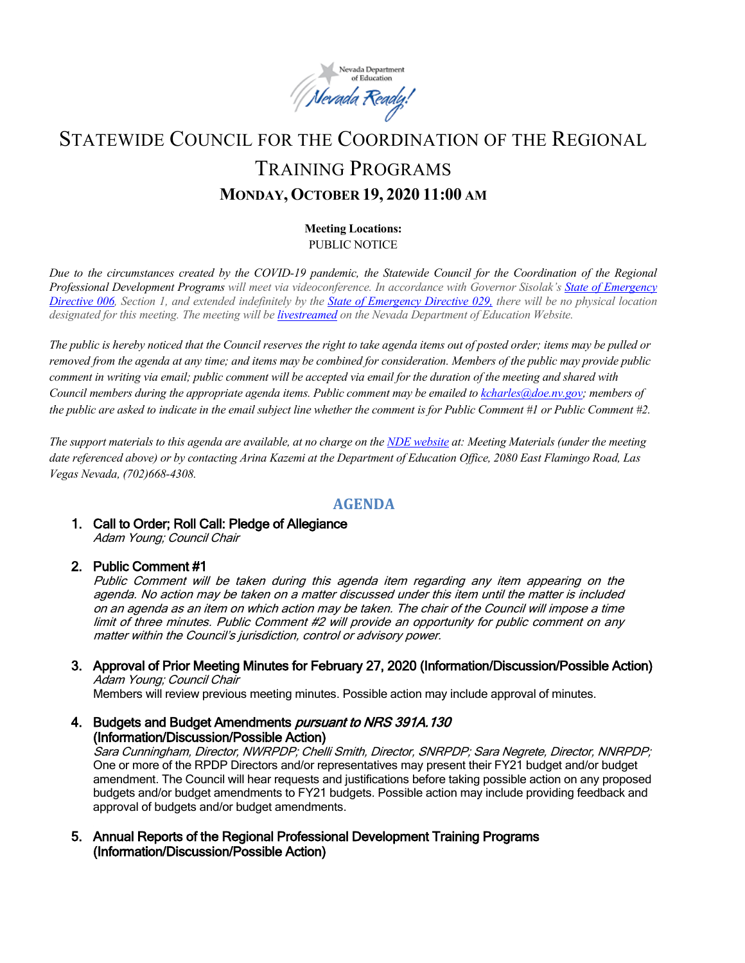

# STATEWIDE COUNCIL FOR THE COORDINATION OF THE REGIONAL TRAINING PROGRAMS **MONDAY, OCTOBER 19, 2020 11:00 AM**

#### **Meeting Locations:** PUBLIC NOTICE

*Due to the circumstances created by the COVID-19 pandemic, the Statewide Council for the Coordination of the Regional Professional Development Programs will meet via videoconference. In accordance with Governor Sisolak's [State of Emergency](http://gov.nv.gov/News/Emergency_Orders/2020/2020-03-22_-_COVID-19_Declaration_of_Emergency_Directive_006/)  [Directive 006,](http://gov.nv.gov/News/Emergency_Orders/2020/2020-03-22_-_COVID-19_Declaration_of_Emergency_Directive_006/) Section 1, and extended indefinitely by the [State of Emergency Directive 029,](http://gov.nv.gov/News/Emergency_Orders/2020/2020-06-29_-_COVID-19_Declaration_of_Emergency_Directive_026/) there will be no physical location designated for this meeting. The meeting will be [livestreamed](http://www.doe.nv.gov/Boards_Commissions_Councils/Statewide_Council_Reg_Training/Meeting_Materials/) on the Nevada Department of Education Website.* 

*The public is hereby noticed that the Council reserves the right to take agenda items out of posted order; items may be pulled or removed from the agenda at any time; and items may be combined for consideration. Members of the public may provide public comment in writing via email; public comment will be accepted via email for the duration of the meeting and shared with Council members during the appropriate agenda items. Public comment may be emailed t[o kcharles@doe.nv.gov;](mailto:kcharles@doe.nv.gov)* members of *the public are asked to indicate in the email subject line whether the comment is for Public Comment #1 or Public Comment #2.* 

*The support materials to this agenda are available, at no charge on the [NDE website](http://www.doe.nv.gov/Boards_Commissions_Councils/Statewide_Council_Reg_Training/Meeting_Materials/) at: Meeting Materials (under the meeting date referenced above) or by contacting Arina Kazemi at the Department of Education Office, 2080 East Flamingo Road, Las Vegas Nevada, (702)668-4308.* 

# **AGENDA**

1. Call to Order; Roll Call: Pledge of Allegiance Adam Young; Council Chair

## 2. Public Comment #1

Public Comment will be taken during this agenda item regarding any item appearing on the agenda. No action may be taken on a matter discussed under this item until the matter is included on an agenda as an item on which action may be taken. The chair of the Council will impose a time limit of three minutes. Public Comment #2 will provide an opportunity for public comment on any matter within the Council's jurisdiction, control or advisory power.

3. Approval of Prior Meeting Minutes for February 27, 2020 (Information/Discussion/Possible Action) Adam Young; Council Chair

Members will review previous meeting minutes. Possible action may include approval of minutes.

4. Budgets and Budget Amendments pursuant to NRS 391A.130 (Information/Discussion/Possible Action)

Sara Cunningham, Director, NWRPDP; Chelli Smith, Director, SNRPDP; Sara Negrete, Director, NNRPDP; One or more of the RPDP Directors and/or representatives may present their FY21 budget and/or budget amendment. The Council will hear requests and justifications before taking possible action on any proposed budgets and/or budget amendments to FY21 budgets. Possible action may include providing feedback and approval of budgets and/or budget amendments.

5. Annual Reports of the Regional Professional Development Training Programs (Information/Discussion/Possible Action)